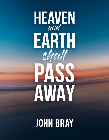

# **JOHN BRAY**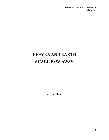# HEAVEN AND EARTH SHALL PASS AWAY

JOHN BRAY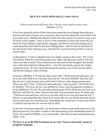# HEAVEN AND EARTH SHALL PASS AWAY

#### "Heaven and earth shall pass away, but my words shall not pass away." (Matthew 24:35)

It has been generally believed that Jesus here meant that even though these physical heavens and earth will pass away some day, that is not true about His word which will never pass away. Whether this physical earth and solar system ever passes away is not the point in this chapter. There is more to this statement of Jesus than meets the eye. Jesus has been talking in apocalyptic language, and heaven and earth passing away could mean here just what He has been talking about—that the heaven and earth of the old Jewish order will pass away, and that His word concerning all this is sure to come to pass.

At first glance, it looks as though Jesus was simply saying in this verse, "My words will be here when the world has passed away" But is the physical world or universe what Jesus had in mind? Was a literal heaven and earth in His thoughts? Remember now, what Jesus had been talking about—what He had already said in this chapter would pass away. We have been discussing the passing away of the Jewish nation, and the old religious order of things.

Go back to Matthew 5:18 and see where Jesus said, "Till heaven and earth pass, one jot or one tittle shall in no wise pass from the law, till all be fulfilled" Here He said that the law would not pass away until what? Until two other things passed away. What were they? First, "Till heaven and earth pass;" and, secondly, "till all (the law) be fulfilled." We know the law was fulfilled in Christ, and all prophecies relating to Israel fulfilled by 70 A.D. We all realize that because of this all the law was now over. But how could this be, when "heaven and earth" had not passed away, for Jesus said "Till heaven and earth pass, one jot or one tittle shall in no wise pass from the law"? Maybe we can understand this better if we realize He was not talking about the literal heaven and earth, but something else. Something else would have to pass away before it could be said that the law was not still in effect.

In the New Testament especially, the destruction of heaven and earth refers not to the physical universe, but rather it relates to the final passing of the disobedient nation of Israel. All would be fulfilled, every jot and tittle, when heaven and earth passed away. (Matt. 5:18).

We have to go to the Old Testament to see what "heaven and earth" means in prophetic language.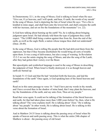In Deuteronomy 32:1, in the song of Moses, God is talking to Israel when He says: "Give ear, O ye heavens, and I will speak; and hear, O earth, the words of my mouth" In the song of Moses, God is depicting the fate of Israel when He says: "For a fire is kindled in mine anger, and shall burn unto the lowest hell, and shall consume the earth with her increase, and set on fire the foundations of the mountains" (vs. 22).

Is God here talking about burning up the earth? No, he is talking about bringing judgment upon Israel. He had already told them the type of judgment they could expect. "The LORD shall bring a nation against thee from far, from the end of the earth, as swift as the eagle flieth; a nation whose tongue thou shalt not understand" (Deut. 28:49).

In the song of Moses, God is telling His people that He had delivered them from the oppressor, but that if they became disobedient He would bring all sorts of trouble upon them. It was a song of deliverance, but also a song of warning. In Revelation 15:2-3 we see the saints singing the song of Moses, and also the song of the Lamb, after they had gotten their victory over the Beast.

But apocalyptic and symbolical language is used in the song of Moses in describing the judgment of God. When Israel is finally destroyed, it is as though heaven and earth are burned up.

In Isaiah 51:13 God said that He had "stretched forth the heavens, and laid the foundations of the earth" Once again, is God speaking here of the literal heavens and earth?

Read on in this same passage to verse 16: "And I have put my words in thy mouth, and I have covered thee in the shadow of mine hand, that I may plant the heavens, and lay the foundations of the earth, and say unto Zion, Thou art my people."

Read that verse again. It could not be talking of the formation of the literal heavens and earth, for that had taken place more than 3,000 years before! So, then, what is He talking about? The verse explains itself. He is talking about "Zion." He is talking about "my people" In other words, He is talking about Israel. He is talking in this verse about the formation of Israel.

And in Matthew 24:35 Jesus is talking about the passing away of Israel when He speaks of heaven and earth passing away. This is what the entire 24th chapter of Matthew is about—the passing away of old Israel.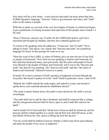Now there will be a new Israel—a new heavens and earth; but more about that later. In Bible figurative language, "heavens" refers to governments and rulers, and "earth" refers to the nation or people.

With this in mind, we can look at the very first chapter of Isaiah, in which God begins to give predictions of coming invasions and captivities of His people; and in Isaiah 1:2 He said:

"Hear, O heavens, and give ear, O earth: for the LORD hath spoken, and I have nourished and brought up children, and they have rebelled against me."

To whom is He speaking when He addresses, "O heavens" and "O earth"? He is talking to Israel. This shows very clearly that "heavens and earth" are symbolical language for Israel. In this passage He went on to say:

"Hear the word of the LORD, ye rulers of Sodom; give ear unto the law of our God, ye people of Gomorrah." Now God was not speaking to Sodom and Gomorrah, for they had been destroyed many years previously. But the rulers and people of Israel were likened to the people of Sodom and Gomorrah, and it was to the "heavens and earth" also that He was speaking. The "heavens and earth" and also "the rulers of Sodom and Gomorrah" referred to Israel as a nation.

In Isaiah 24 we have a picture of God's promise of judgment on Israel through the Assyrians. But Israel is spoken of as the "earth" Read in particular verses 1 and 19-20:

"Behold, the LORD maketh the earth empty, and maketh it waste, and turneth it upside down, and scattereth abroad the inhabitants thereof."

"The earth is utterly broken down, the earth is clean dissolved, the earth is moved exceedingly.

"The earth shall reel to and fro like a drunkard, and shall be removed like a cottage; and the transgression thereof shall be heavy upon it; and it shall fall, and not rise again."

And in Isaiah 34:4-5 God said that "all the host of heaven shall be dissolved, and the heavens shall be rolled together as a scroll: and all their host shall fall down, as the leaf falleth off from the vine, and as a falling fig from the fig tree."

"For my sword shall be bathed in heaven: behold, it shall come down upon Idumea, and upon the people of my curse, to judgment."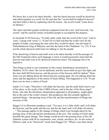We know this is not to be taken literally—that the literal heavens would be dissolved and rolled together as a scroll, for He said that His "sword shall be bathed in heaven" and then follows that by explaining what He meant—the sword would "come down on Idumea."

The rulers and their people would face judgment from the Lord. And God said, "my sword;" and He used the armies of heathen people to accomplish His purpose.

In Jeremiah 22:29 God says, "O earth, earth, earth, hear the word of the Lord." And in verse 1 (along with verses 11, 18 and 24) we had read that the words were for the people of Judah, concerning the time when they would be taken "into the hand of Nebuchadnezzar king of Babylon, and into the hand of the Chaldeans" (vs. 25). It was not the whole physical earth God was talking to, but the people.

If the dissolving of heaven and earth were to be taken literally in all the passages of the Old Testament where such language is used, it would necessarily mean that the heavens and earth were to be destroyed numerous times! The language has to be figurative.

This brings us back to our comments on the cosmic disturbances mentioned in Matthew 24:29, when "the sun be darkened, and the moon shall not give her light, and the stars shall fall from heaven, and the powers of the heavens shall be shaken" There Jesus was not talking about the literal heavens coming apart. He was talking about the rulers and the dignitaries of the nation of Israel falling. This happened in A.D. 70 and there was no more a nation of Israel.

Isaiah 13:13 said, "Therefore I will shake the heavens, and the earth shall remove out of her place, in the wrath of the LORD of hosts, and in the day of his fierce anger" Some, who take the literalistic interpretation approach to all prophecy, might apply this to the end of the world's history. But prophecies like this actually applied to spiritual things—the passing away of the old, and the transformation of things into newness of life.

Haggai 2:6 (a Messianic prophecy) said, "Yet once, it is a little while, and I will shake the heavens, and the earth, and the sea, and the dry land; and I will shake all nations …" This passage applies to the change of things which were brought about by the passing away of the old and the introduction of the new. The coming of Christ made possible this great change. This change would involve the passing away of the old Judaistic system with all its ceremonies, rites, rituals, sacrifices, etc. As the writer of Hebrews said, as he "borrowed" words from Haggai 2:6, "Whose voice then shook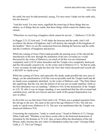the earth; but now he hath promised, saying, Yet once more I shake not the earth only, but also heaven."

"And this word, Yet once more, signifieth the removing of those things that are shaken, as of things that are made, that those things which cannot be shaken may remain.

"Wherefore we receiving a kingdom which cannot be moved ..." (Hebrews 12:26-28).

In Haggai 2:21-22 God said, "I will shake the heavens and the earth; And I will overthrow the throne of kingdoms, and I will destroy the strength of the kingdoms of the heathen." Here we see the connection between shaking the heavens and the earth, and the overthrow of kingdoms and powers.

While the coming of Jesus Christ made possible the passing away of the old and the introduction of the new through the institution of the new covenant (so vividly discussed by the writer of Hebrews), yet much of all this was not eliminated completely until A.D.70 when Jerusalem and the Temple were completely destroyed and the old actually ceased to be. As the writer said in Hebrews 8:13, "In that he saith, A new covenant, he hath made the first old. Now that which decayeth and waxeth old is READY to vanish away."

While the coming of Christ, and especially His death, made possible this new area of things, yet the manifestation of all this was not possible until the Temple itself and all its rituals were completely abolished. As the writer of Hebrews said, "The Holy Ghost this signifying, that the way into the holiest of all was not yet made manifest, while as the first tabernacle was yet standing." (Hebrews 9:8). In the destruction of the Temple in A.D. 70, after it was no longer standing, it was manifested that the old covenant had vanished away, and the new heaven and new earth of this gospel dispensation was now in effect.

In all of this we see that from Christ until A.D. 70 there was a gradual transition from the old age to the new. He came in the end of the age (Hebrews 9:26). The old was ready to vanish away (Hebrews 8:13). The new was manifested after the Temple was destroyed (Hebrews 9:8).

Concerning the expression, "ready to vanish away;" found in Hebrews 8:13, George Eldon Ladd said, "Whether or not these words refer to the historical destruction of Jerusalem by the Romans in 70 A.D., they at least affirm the dissolution of the old Mosaic order, because the new order of redemption reality has come" (George Eldon Ladd, p. 27, The Last Things).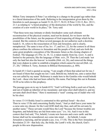Milton Terry interprets II Peter 3 as referring to a change to the gospel age rather than to a literal destruction of the earth. Referring to the interpretation given them by the literalists to such passages as Isaiah 51:16, 65:17, 56:22, II Peter 3:10-13, Rev. 20:11, 21:1 as relating to "a literal prophecy of the destruction of the world by fire, and the creation of a new world in its place," Dr. Terry said:

"That these texts may intimate or dimly foreshadow some such ultimate reconstruction of the physical creation, need not be denied, for we know not the possibilities of the future, nor the purposes of God respecting all things which he has created. But the contexts of these several passages do not authorize such a doctrine. Isaiah li. 16, refers to the resuscitation of Zion and Jerusalem, and is clearly, metaphorical. The same is true of Isa. lxv. 17, and lxvi. 22, for the context in all these places confines the reference to Jerusalem and the people of God, and sets forth the same great prophetic conception of the Messianic future as the closing chapters of Ezekiel. The language of 2 Pet. iii, 10, 12, is taken mainly from Isa. xxxiv. 4, and is limited to the parousia, like the language of Matt. xxiv, 29. Then the Lord made 'not only the land but also the heaven' to tremble (Heb. xii, 26), and removed the things that were shaken in order to establish a kingdom which cannot be moved (Heb. xii, 27, 28)." (Milton S. Terry, footnote in Biblical Hermeneutics, p. 489).

In Isaiah 65:1 God is quoted as saying, "I am sought of them that asked not for me; I am found of them that sought me not: I said, Behold me, behold me, unto a nation that was not called by my name' Reference is made here to the Gentiles who would behold the Lord—those who had not been called by His name. Paul brings this out in Romans 10:20 as he refers to this prophecy.

The passage goes on to say in Isaiah 65:9, "And I will bring forth a seed out of Jacob, and out of Judah an inheritor of my mountains: and mine elect shall inherit it, and my servants shall dwell there." Here is mentioned a "seed" coming out of Judah who will be his elect.

In verses 13-14 fleshly Israel is contrasted to this spiritual Israel—the elect. Then in verse 15 He said concerning fleshly Israel, "And ye shall leave your name for a curse unto my chosen: for the Lord GOD shall slay thee, and call his servants by another name." These servants would bless the Lord "because the former troubles are forgotten, and behold they are hid from mine eyes." (vs. 16). And it was in this context that God said, "For, behold, I create new heavens and a new earth: and the former shall not be remembered, nor come into mind . . . for behold, I create Jerusalem a rejoicing, and her people a joy. (vss. 17-18). This is the New Jerusalem of Revelation 21:10—that holy city, the bride, the Lamb's wife, the church, God's people in this new dispensation.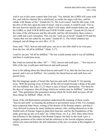And it was in this same context that God said, "For, behold, the LORD will come with fire, and with his chariots like a whirlwind, to render his anger with fury, and his rebuke with flames of fire." (Isaiah 66:15). The Lord comes! And He did come, with the fires of His fury upon the land of Israel. And as a result, it could be said, "For as the new heavens and the new earth, which I will make, shall remain before me, saith the LORD, so shall YOUR SEED and YOUR NAME remain." (Isaiah 66:22) Out of the ruins of the old heavens and the old earth, and the old Jerusalem, there comes a new earth and a new Jerusalem. This was the "seed out of Jacob" (Isaiah 65:9) and the "nation that was not called by my name" (Isaiah 65:1). The whole situation has changed, and all things are new (Rev. 21:5).

Jesus said, "TILL heaven and earth pass, one jot or one tittle shall in no wise pass from the law, till all be fulfilled." (Matt. 5:17).

I used to see just "till all be fulfilled." The law would remain until it was all fulfilled, and then it would pass away.

But I had not noticed the other "till"— "TILL heaven and earth pass…" Not one jot or tittle of the law would pass until heaven and earth passed.

Now is He talking about the literal heaven and earth? If so, then the law has not yet passed, and is not yet fulfilled—for certainly the literal heaven and earth have not passed away.

But this language speaks of Israel (the heavens and earth of Isaiah 51:16) passing away. With the passing away of Israel, all the old covenant became a thing of the past. All was fulfilled. See Luke 21:22 where it says of Israel's destruction, "For these be the days of vengeance, that all things which are written may be fulfilled." And Jesus said, "This generation (the generation during which He lived) shall not pass, till all these things be fulfilled" (Matt. 24:34).

Some of the old Reformation preachers understood the meaning of those words, "heaven and earth" as meaning the political or government areas of life. For example, most respected John Owen, writing of the demise of the Roman empire, said that it "was shivered to pieces by many barbarous nations; who, settling themselves in the fruitful soils of Europe, began to plant their heavens, and lay the foundations of the earth, growing up into civil state" etc. (John Owen, vol. 8, p. 265). Here John Owen had reference to the shaking of the Roman Empire, but later in this book I give a lengthy quotation of his where he had the reference to the Jewish religious structure which was removed before the full realization of the new covenant in the kingdom of Christ.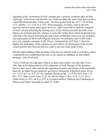Speaking of the "restoration of God's people into a glorious condition after all their sufferings" John Owen said that this was "held out under the same term, and you have a plentiful demonstration of this point." He then quoted from Isa. 65:17, 18, II Peter 3:13, and Rev. 21:1 (vol. 8, p. 255). These passages, of course, refer to the new heavens and new earth. Once again, however, John Owen had in mind the condition of God's people following the passing away of the old heavens and old earth of the Papacy government and rule, whereas it seems the writers from which he quoted were referring to the church following the destruction of Babylon which was old Jerusalem and represented all the Jewish religious structure. Nevertheless, later in this book I give you a lengthy summary of Dr. Owen's interpretation of II Peter 3 where he applies the destruction of the old heavens and earth to the destruction of the Jewish system and the new heavens and new earth to the new order under Christ.

But his understanding of the meaning of the heavens and the earth is well taken, and it would profit us to understand this also in our studies on Matthew 24 and related passages. John Owen said;

"Not to hold you too long upon what is so plain and evident, you may take it for a rule, that, in the denunciations of the judgments of God, through all the prophets, heaven, sun, moon, stars, and the like appearing beauties and glories of the aspectable heavens, are taken for governments, governors, dominions in political states, as Isa. xiv, 12-15; Jer. xv. 9, li. 25" His footnote then gives Isa. 13:13, Ps. 68:8, Joel 2:10, Rev. 8:12, Matt. 24:29; Luke 21:25, Isa. 60:20; Obad. 4; Rev. 8:13; 11:12, 20:11. (John Owen, p. 255, vol. 8, p. 255, in a sermon entitled "Shaking and Translating of Heaven and Earth" preached on April 19, 1649).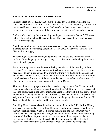#### The "Heavens and the Earth" Represent Israel

In Isaiah 51:15-16, God said, "But I am the LORD thy God, that divided the sea, whose waves roared: The LORD of hosts is his name. And I have put my words in thy mouth, and I have covered thee in the shadow of mine hand, that I may plant the heavens, and lay the foundation of the earth, and say unto Zion, Thou art my people."

God is not here talking about something that happened at creation's date 3,000 years before! He is talking about His people Israel. The "heavens and the earth" represent Israel in this language.

And the downfall of governments are represented by heavenly disturbances. For example, Isaiah 34:4 (nations); Jeremiah 4:23-25 (Jews by Babylon); Ezekiel 32:7 (destruction of Egypt).

The shaking of heaven and earth, and planting the heavens and foundation of the earth, are Bible language referring to change, transformation, and making into a new thing, of God's people.

Some of us may have to re-orient our thinking to understand the meaning of these passages. The Hebrew people understood this kind of language. It was their style. We need to see things in context, and the context of these New Testament passages had reference to the first century—not the end of the Roman Empire, not the Reformation period, and not a future state of the world at the end of time—but of what was to take place in the generation of those living in the time of Christ.

This same kind of language was used over and over again in the Old Testament as has been previously pointed out as we dealt with Matthew 24:29 in this series. Jesus used this kind of language in the above-mentioned verse (Matthew 24:29), and He used this same kind of language in verse 35 when He said, "Heaven and earth shall pass away" Why should Jesus use a different kind of prophetic language than was used in the Old Testament and that was understood by the Hebrew mind?

One thing I have learned about literalism and symbolism in the Bible, is this: History and events are generally given in literal language, and prophecies are generally given in symbolical language. When God created the heavens and the earth, that was a historical event; the language describing that event is literal. When God is describing the downfall of Israel in prophetic terms, He uses symbolical language, like the destruction of the heavens and the earth. He does not mean that He will actually destroy the heavens and the earth; that is prophetic and symbolical language.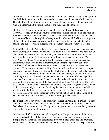In Hebrews 1:10-12 we have the same kind of language: "Thou, Lord in the beginning hast laid the foundations of the earth; and the heavens are the works of thine hands: They shall perish; but thou remainest; and they all shall wax old as doth a garment; And as a vesture shalt thou fold them up, and they shall be changed."

Matthew 24:35 could be the same as a condensed paraphrase of these verses in Hebrews, for they are talking about the same thing. In fact, just about all the book of Hebrews is about the passing away of the old heavens and earth of the old covenant and nation of Israel, as is so plainly brought out in Hebrews 12:26-28 where it speaks of the shaking of heaven and earth, and the removing of those things that can be shaken, and our receiving a kingdom which cannot be shaken or moved. Read it!

J. Stuart Russell said, "What, then, is the great catastrophe symbolically represented as the shaking of the earth and heavens? No doubt it is the overthrow and abolition of the Mosaic dispensation, or old covenant; the destruction of the Jewish church and state, together with all the institutions and ordinances connected therewith. There were 'heavenly things' belonging to the dispensation: the laws, and statutes, and ordinances, which were divine in their origin, and might be properly called the 'spiritualia' of Judaism—these were the heavens, which were to be shaken and removed. There were also 'earthly things:' the literal Jerusalem, the material temple, the land of Canaan—these were the earth, which was in like manner to be shaken and removed. The symbols are, in fact equivalent to those employed by our Lord when predicting the doom of Israel. 'Immediately after the tribulation of those days (the horrors of the siege of Jerusalem) shall the sun be darkened, and the moon shall not give her light, and the powers of the heavens shall be shaken' (Matt. xxiv. 29). Both passages refer to the same catastrophe and employ very similar figures; besides which we have the authority of our Lord for fixing the event and the period of which He speaks within the limits of the generation then in existence: that is to say, the reference can only be to the judgment of the Jewish nation and the abrogation of the Mosaic economy at the Parousia" (J. Stuart Russell, pp. 289-290).

The literal earth is not predicted to pass away. In fact, in Psalm 104:5 David said that God "laid the foundation of the earth, that it shall not be removed forever." And in Ecclesiastes 1:4, Solomon said, "One generation passeth away, and another generation cometh: but the earth abideth forever."

In Matthew 24:35 Jesus is not anywhere speaking of the passing away of the literal heavens and earth, but of the coming destruction of Israel and Jerusalem and the Temple and all the rituals and ceremonies involved in their existence and practices. There was to be a new heavens and a new earth as a result, of which we speak shortly.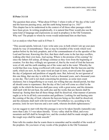### II Peter 3:1-14

The question then arises, "What about II Peter 3 where it tells of 'the day of the Lord' and the heavens passing away, and the earth being burned up (vs. 10)?" This chapter has to be understood in the context of all these other passages which have been given. In writing prophetically, it is natural that Peter would also use the same kind of language and expressions as used in prophecy in the Old Testament. Why not? The people to whom he wrote would understand him on that basis.

Let us analyze what Peter said in II Peter 3:

"This second epistle, beloved, I now write unto you; in both which I stir up your pure minds by way of remembrance: That ye may be mindful of the words which were spoken before by the holy prophets, and of the commandment of us the apostles of the Lord and Saviour; Knowing this first, that there shall come in the last days scoffers, walking after their own lusts, And saying, Where is the promise of his coming? for since the fathers fell asleep, all things continue as they were from the beginning of creation. For this they willingly are ignorant of, that by the word of God the heavens were of old, and the earth standing out of the water and in the water: Whereby the world that then was, being overflowed with water, perished: But the heavens and the earth, which are now, by the same word are kept in store, reserved unto fire against the day of judgment and perdition of ungodly men. But, beloved, be not ignorant of this one thing, that one day is with the Lord as a thousand years, and a thousand years as one day. The Lord is not slack concerning his promise, as some men count slackness; but is longsuffering to us-ward, not willing that any should perish, but that all should come to repentance. But the day of the Lord will come as a thief in the night; in the which the heavens shall pass away with a great noise, and the elements shall melt with fervent heat, the earth also and the works that are therein shall be burned up. Seeing then that all these things shall be dissolved, what manner of persons ought ye to be in all holy conversation and godliness. Looking for and hasting unto the coming of the day of God, wherein the heavens being on fire shall be dissolved, and the elements shall melt with fervent heat? Nevertheless we, according to his promise, look for new heavens and a new earth, wherein dwelleth righteousness."

Let me suggest to start with that this passage is not to be taken literally (naturally) any more than Luke 3:5 was taken literally. "Every valley shall be filled, and every mountain and hill shall be brought low; and the crooked shall be made straight, and the rough ways shall be made smooth."

Peter tells his readers that he wants them to remember and be mindful of the words of the prophets. Do you know of any words of the prophets in the Old Testament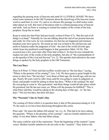regarding the passing away of heavens and earth IN A LITERAL SENSE? We have noted some instances in the Old Testament about the dissolving of the heavens (same word as used here in verse 13), and as we discuss this passage we shall notice some other places as well. But none of the places refer to a literal passing away of heaven and earth. And yet Peter is wanting to remind his readers of the words of the holy prophets. Keep this in mind.

Keep in mind also that Peter had previously written (I Peter 4:7), "But the end of all things is at hand." Naturally he was not talking about the end of our present heavens and earth, for if he were, he was mistaken, for that has not happened and nineteen hundred years have gone by. He meant an end was at hand to the old heavens and earth of Judaism under the judgment of God—the end of the world (Jewish age) which Jesus has predicted would happen in that generation (Matt. 24:34). This occurred just a few years later after Peter had written it. So here he now reminds his readers not only of the words of the holy prophets, but also of "the commandment of us the apostles of the Lord and Saviour" (vs. 2). The apostles had referred to the same things as spoken by the holy prophets in the Old Testament.

#### The Last Days

Then in II Peter 3:3 Peter said that scoffers would come in "the last days," saying, "Where is the promise of his coming?" (vss. 3-4). We have gone to great length in this series to show how "the last days" were those of their age, the Jewish age, and not our age. Nearly 40 years went by after Jesus said He was going to come in judgment on Israel, and people would be asking in those last days, "When is He coming? He said He was going to come in 'this generation' and these things would all take place which He promised, but He has not come yet. When will the promise be fulfilled?" This is what Peter said they would be asking in the closing days of that age—in "the last days." Not our last days, but their last days.

#### The "Parousia" Like in Noah's Day

The coming of Christ which is in question here is that of His parousia/coming in A.D. 70, the same as we have been discussing throughout this series.

Peter said, "for since the fathers fell asleep" etc. (vs. 4). This had to be Jews asking the question, "Where is the promise of his coming?", and not Gentile unbelievers of today. It was their fathers who had fallen asleep.

The same could be said of the expression, "from the beginning of the creation" (same verse). Modern Gentile unbelievers do not refer to the "creation". They believe the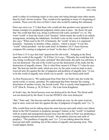earth is either of everlasting origin or else came into being through some other means than by God's divine creation. They would not be speaking in terms of a beginning of creation. These were the Jews in Peter's time who would be making this statement.

Peter says next (vss. 5-7) that those who would ask that question were ignorant of a former example of a prophesied judgment which came to pass—the flood. He said that "the world that then was, being overflowed with water, perished" (vs. 6). The word "world" is from the Greek word "kosmos" which means the world in its orderly arrangement, including the inhabitants. Scofield's note on this word in Matthew 4:8 also says, "When used in the NT of humanity, the 'world' of men, it is organized humanity—humanity in families, tribes, nations—which is meant." It was this "world" which perished—not the earth itself. In Matthew 24:37 Jesus likewise compares His coming in judgment on Israel "as the days of Noah were."

In II Peter 2:15 it says that God "spared not the old world ... bringing in the flood upon the world of the ungodly." In II Peter 3:6 it says, "Whereby the world that then was, being overflowed with water, perished" But afterwards, the earth was still here; it was not destroyed. The end of the world was not the destruction of the earth, but the destruction of ungodly sinners. This is what Peter meant in II Peter 3:7 when he says that "the heavens and the earth, which are now, by the same word are kept in store, reserved unto fire against the day of judgment and perdition of ungodly men." It was to be the world of ungodly men which was to perish—not the literal earth itself.

As Don Preston put it, "We understand from Peter that in Noah's day the world, the moral world, or society, perished. We understand that Peter foresaw the coming dissolution of another society, the Jewish world. This is exactly what happened in 70 A.D" (Don K. Preston, p. 38, II Peter 3—The Late Great Kingdom).

In Noah's day, the literal heavens were not destroyed by the flood. The literal earth was not destroyed by the flood. It was the PEOPLE who were destroyed.

"But," Peter said, "the heavens and the earth which are now, by the same word are kept in store, reserved unto fire against the day of judgment of ungodly men" (vs. 7).

Why would Peter not be talking about the same heavens and earth which were talked about in the Old Testament in prophetic passages? Indeed, as the "world" of mankind with its system and arrangement passed away (not the earth) so Peter was predicting a coming judgment and destruction of Israel—the prophetic heavens and earth of prophecy. "The perdition of ungodly men" (vs. 7) is not talking about the literal heavens and earth vanishing, but of this nation of ungodly men passing away. This would happen shortly.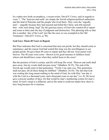In a rather new book on prophecy, a recent writer, David P. Crews, said in regards to verse 7, "The 'heavens and earth' are simply the Jewish religious/political authorities and the land of Palestine and the people who lived there. They were the 'ungodly men'—ungodly because they had rejected and killed the Christ, and still rejected him—who were being 'kept' (by the gracious mercy of God who wanted all to repent and come to him) unto the day of judgment and destruction. This phrasing tells us that this is another 'day of the Lord' just like the ones we see exampled in the Old Testament." (David P. Crews, p. 96).

#### God Gave Them 40 Years to Repent

But Peter indicates that God is concerned that men not perish, but they should come to repentance; and the reason God had waited this long was the unwillingness to see people perish. He gave them 40 years to repent and they did not. God cannot wait forever. The 40 years were extra—thrown in for good measure to faithless Israel whose end should have come when they nailed Jesus to the cross!

But the promise of God is certain, and He will keep His word. "Heaven and earth shall pass away, but my words shall not pass away" (Matthew 24:35). The end of the Jewish age would come in that generation. "Verily I say unto you, This generation shall not pass, till all these things be fulfilled." (Matthew 24:34). The fact that God was waiting this long meant nothing to the mind of God, for with Him "one day is with the Lord as a thousand years, and a thousand years as one day" (vs. 8). He never gave a precise number of days, for that would be man's numbering system for man's mind. In God's mind it is different, and in His mind it could not matter how short or how long because He is timeless.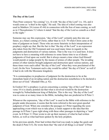#### The Day of the Lord

Then Peter connects "his coming" (vs. 4) with "the day of the Lord" (vs. 10), and it would come as "a thief in the night," He said. The idea of a thief coming was also used in Matthew 24 (verses 43-44) in connection with the Son of man coming, as well as in I Thessalonians 5:2 where it stated "that the day of the Lord so cometh as a thief in the night."

Someone may say this expression, "day of the Lord" certainly puts this into our future, as a future coming of Christ, rather than in A.D. 70 when Christ came at the time of judgment on Israel. Those who are more futuristic in their interpretation of prophecy might say that. But the fact is that "the day of the Lord" is an expression also taken from the Old Testament and was used many times in regards to the judgments and destruction of various nations. That is the way it is used here. It does not have to have a meaning with reference to some future time to us of drastic judgments of God upon our world. But it always meant a time when God Himself would punish or judge people by the means of armies of other people. The invading armies of other nations brought judgment and destruction upon various nations, and these times were each called "the day of the Lord" when they were proclaimed of the Lord. (In the New Testament such a day would be called "the day of Christ" as well if it had to do with the Messianic kingdom).

"It is commonplace in prophecies of judgment for the destruction to be at the immediate hand of an invading nation and the destruction nonetheless to be declared a direct act of God." (Randall Otto, p. 92).

In Ezekiel 30:3 a prophecy is given concerning a coming "day of the Lord" But in verse 10 it is clearly pointed out that what is involved would be the destruction wrought by Nebuchadnezzar king of Babylon. This is the way "the day of the Lord" was to come at so many times in the Bible, including that one predicted in II Peter 3.

Whenever the expression, "day of the Lord" is used in the Bible with reference to the people under discussion, it seems that the term referred to the next great epochal judgment of God. When one considers the passages in I Peter regarding the soonapproaching event which was to take place, it lends support to the idea that this passage in II Peter 3 goes right along with these other passages in depicting a "near" event. In II Peter 3:1 Peter wrote to stir up their memory of what he had written before, as well as what had been spoken by the holy prophets.

In his previous epistle, Peter had written that God was ready to judge the quick and the dead (I Peter 4:5). He wrote them that "the end of all things is at hand" (I Peter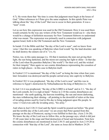4:7). He wrote them that "the time is come that judgment must begin at the house of God." Other references in I Peter give the same emphasis. In this epistle Peter was talking about the "day of the Lord" that was to occur in their generation. It was a "near" event.

Let us see how this expression was used in the Old Testament. How it was used there would certainly be the way any writers of the New Testament would use it—else there would be a change of definition necessary for New Testament Hebrews to understand what was meant. The expression was primarily used in connection with judgment against Israel, both in the Old Testament and the New Testament.

In Isaiah 13:6 the Bible said that "the day of the Lord is near", and we know from verse 1 that this was speaking of Babylon when God would "lay the land desolate: and he shall destroy the sinners out of it." (vs. 6).

Notice, too, in this same passage (vs. 10) that it mentions the stars not giving their light, the sun being darkened, and the moon not causing her light to shine—in that day of the Lord when He punishes Babylon ("the world") "for their evil, and the wicked for their iniquity" Here again we see cosmic disturbances representing the cessation of rulers in high places—in this case in Babylon itself.

In Ezekiel 13:5 is mentioned "the day of the Lord" as being the time when four years later Jerusalem was destroyed and the people carried away into captivity to Babylon.

In Ezekiel 30:3 it was prophesied, "the day of the Lord is near" and this was in reference to Egypt's destruction by Nebuchadnezzar the king of Babylon (vs. 10).

In Joel 1:6 it was prophesied, "the day of the LORD is at hand" and in 2:1, "the day of the Lord cometh, for it is nigh at hand." Notice in 2:10 the cosmic disturbances are mentioned—the earth quaking, the heavens trembling, the sun and moon darkening, the stars withdrawing their shining—all pointing to the downfall of rulers at the time of invading armies used by God in His day to bring judgment upon His people. In verse 11 God even calls the invading army, "his army."

And when in Joel 2:28-31 God said the Spirit would be poured out before "the great and the terrible day of the Lord come" we are aware that Peter quoted from this passage on the day of Pentecost, saying it was fulfilled in their day. (Acts 2:16-20). We know the day of the Lord was to follow this, as the passage says, which it did just 37-40 years later in the siege and final destruction of Israel and Jerusalem. Note how the cosmic disturbances are mentioned in Joel 2:30-31 and quoted in Acts 2:19-20 in connection with "that day of the Lord", the same as Jesus did in Matthew 24:29.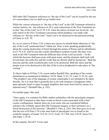Still other Old Testament references to "the day of the Lord" can be located by the use of a concordance, but we shall not go further here.

While the various references to "the day of the Lord" in the Old Testament referred to various nations, etc., the reference in ALL such expressions in the New Testament are to that "day of the Lord" in 67-70 A.D. when the nation of Israel was involved—the only nation in the New Testament concerning which prophecy was made with reference to "the day of the Lord." Israel was to be destroyed at the parousia/coming of Christ in A.D. 70.

So, as we come to II Peter 3:10, is there any reason we should think otherwise of "the day of the Lord" mentioned here? I think not. Peter is here speaking prophetically about the coming destruction of Israel through the armies of Rome and its subsidiaries in 67-70 A.D. And he uses the cosmic disturbance symbols exactly like they were used in the Old Testament when the different days of the Lord occurred—"in the which the heavens shall pass away with great noise, and the elements shall melt with fervent heat, the earth also and the works that are therein shall be burned up." Both the heavens and the earth (symbolically) were to be destroyed. Both the rulers and the people were to be destroyed in this day of the Lord as prophesied to take place at "his coming."

To throw light on II Peter 3:10, recent author Randall Otto, speaking of the cosmic disturbances as mentioned in Matthew 24:29, Mark 13:23, 25, Luke 21:25-26, said: "The prophet's use of the language of cosmic catastrophe is not intended to be taken literally, for it is clear that it generally has to do with instances of judgment either upon apostate Israel or upon its pagan neighbors that issue from God by means of a national army!" (Randall Otto, p. 103).

On another page, Otto said:

"Once again, it is common for Bible readers unfamiliar with the apocalyptic imagery of the Old Testament to take these words as literal events associated with a final cosmic conflagration. Indeed, there are even some who are considered biblical scholars who willfully ignore this Old Testament imagery in their insistence on a literal destruction of the universe." (Randall E. Otto, p. 226). Otto then goes on to say that the text of II Peter 3:10 is the same kind of apocalyptic text as found in the symbolic imagery of Isaiah 13:9-10, 23:21, Ezek. 32:7-8ff, Joel 2:30 ff, Amos 8:9, and Zeph. 1:14-18.

In like manner, David P. Crews said: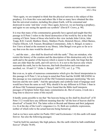"Here again, we are tempted to think that the physical universe is the subject of this prophecy. It is from this verse and others like it that so many have obtained the idea that the universal creation, including this planet Earth, will be consumed and destroyed in some 'end time' event. Once again, however, we are hearing a prophecy, and again we are seeing the apostle use symbols" (David P. Crews, p. 98).

It is true that many of the commentaries generally have agreed and taught that this passage in II Peter 3 refers to the literal destruction of the world by fire at the final coming of Christ. Some of those who hold to this view include John Calvin, John Trapp, B.H. Carroll, Matthew Henry, Matthew Poole, Heinrich Meyer, Albert Barnes, Charles Ellicott, A.R. Fausset, Broadman Commentary, John A. Bengel, to name a few I have at hand at the moment in my library. John Bengel even goes so far as to say that even the stars would be dissolved.

"... and the stars ... also shall be dissolved with the earth." They are mistaken, who restrict the history of the creation and the description of this destruction only to the earth and to the quarter of the heaven which is nearer to the earth, but feign that the stars are older than the earth, and will survive it. It is not to the heaven only which surrounds the earth, but to the heavens, that both dissolution and restoration are ascribed, ver. 10 and 13." (John A. Bengel, 1687-1752, vol. 2, p. 779).

But even so, in spite of numerous commentaries which give the literal interpretation to this passage in II Peter 3, let us keep in mind that Peter had the SAME MEANING in this passage as was expressed in all the Old Testament passages mentioning "the new heavens and the new earth." And the apocalyptic and symbolic kind of language used would have been the same as well. Why should it be any different in II Peter 3 than in all those Old Testament passages? I have found that the Bible itself interprets passages of Scripture better than many commentaries do. But of course, it took me a long time to discover some of this myself.

It hardly seems possible to me that "the heavens being on fire shall be dissolved" of H Peter 3:12 would have any different meaning than the "all the host of heaven shall be dissolved" of Isaiah 34:4. The latter refers to Bozrah and Idumea and their judgment (vs. 6) at the day of the Lord's vengeance (vs. 8). Both are symbolic expressions, neither of which refer to the actual heavens being burned up.

And as we have seen earlier (in Psalm 104:5 and Ecclesiastes 1:4) this earth will stand forever. See also the following passages:

"And he built his sanctuary like high palaces, like the earth which he hath established forever" (Psalm 78:69).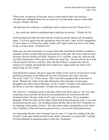"Praise him, ye heavens of heavens, and ye waters that be above the heavens… "He hath also stablished them for ever and ever: he hath made a decree which shall not pass" (Psalm 148:4,6).

"He hath also the world also is stablished, that it cannot be moved" (Psalm 93:1).

"... the world also shall be established that it shall not be moved..." (Psalm 96:10).

And God promised after the flood that He would nevermore destroy all of mankind again. "I will not again curse the ground any more for man's sake; for the imagination of man's heart is evil from his youth; neither will I again smite any more every thing living, as I have done." (Genesis 8:21).

Some may say that God made a covenant with Noah, and that the rainbow would be a reminder of that covenant between Noah and the world, that "the waters shall no more become a flood to destroy all flesh" (Genesis 9:15). And this, some say, does not rule out God's destruction of the entire world by fire some day—that He will not do it with a flood, but He will do it with fire. They feel that II Peter 3 teaches this. But no, Genesis 8:21 plainly declared that God would never "again smite any more every thing living, as I have done."

God did destroy nations, but never again the whole world. And we do not know of any prediction anywhere in the Bible that says He will destroy this entire universe. The word "earth" (vs. 7) here means "land" and refers prophetically to the land of Israel. "Burned up" refers to the utter destruction that took place in those days throughout the entire land of Palestine. As the "world" of sinners were destroyed in the flood, so here the "earth/land" of Israel was completely destroyed.

The "heavens" would pass away in this day of the Lord, Peter said (vs. 10). Yes, they would pass away just like the heavens were predicted to be removed in the Old Testament when "the day of the Lord" came, at various times. This is prophetic language. When the rulers of the nation which God destroyed passed away, it was said the heavens passed away. The invading armies did this. But in the New Testament we are thinking of the nation of Israel—the only nation under consideration in the whole New Testament. When the heavens passed away, it was Israel which passed away.

It is interesting that the word "coming" here in verse 11 ("unto the coming of the day of God") is the same identical word in the Greek ("parousia") as used of the "coming" of Christ Himself in numerous places in the New Testament.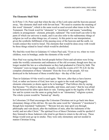#### The Elements Shall Melt

In II Peter 3:10, Peter said that when the day of the Lord came and the heavens passed away, "the elements shall melt with fervent heat." We need to examine the meaning of this word "elements", which is the same word as used several other times in the New Testament. The Greek word for "elements" is "stoicheion" and means "something orderly in arrangement—element, principle, rudiment" The word itself can refer to the parts of which our universe is made, and it can also refer to the rudimentary things of religion (as well as other things too, of course). At this point in our interpretation, given the symbolic fulfillment of the passing away of the heavens and the earth, we would connect this word to Israel. The elements that would be done away with would be those things related to Israel which would be abolished.

We find this word first in Galatians 4:3 where Paul said, "Even so we, when we were children, were in bondage, under the elements of the world."

Here Paul was saying that the Jewish people before Christ and salvation were living under the worldly ceremonies and ordinances of the old covenant, though now they no longer needed the law as a schoolmaster as they had graduated to Christ by faith. The "elements" were no longer needed. Actually, it took the events of 67-70 A.D. for the complete elimination of these "elements" from the lives of the people. All was destroyed in the holocaust of those eventful days—the day of the Lord.

Then in Galatians 4:9 the word is used again. "But now, after that ye have known God, or rather are known of God, how turn ye again to the weak and beggarly elements whereunto ye desire again to be in bondage?" Paul follows this by saying that because "Ye observe days, and months, and times, and years;" that he was afraid he had bestowed his labor upon them in vain. Turning again to the legality of the old law and its system was the same as going back to an "elementary" religious system. The whole system would be "burned up" shortly.

In Colossians 2:8 Paul encourages the Colossian Christians not to go back into these elementary things of the old law. He uses the same word for "elements" ("stoicheion") though here translated "rudiments:" "Beware lest any man spoil you through philosophy and vain deceit, after the traditions of men, after the rudiments of the world, and not after Christ." The spiritual lives of these Christians could be spoiled if they listened to those Judaizers who tried to get them to return to the old way. These things would soon go up in smoke. They were only elementary and not needed in mature Christian living.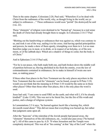Then in the same chapter, Colossians 2:20, Paul said, "Wherefore if ye be dead with Christ from the rudiments of the world, why, as though living in the world, are ye subject to ordinances ..." These ordinances would soon "perish" (be destroyed) he said (vss. 22).

These "elements" of religion were destined to be "burned up", because in a real sense the death of Christ had already brought them to naught. In Colossians 2:14-17 Paul said,

"Blotting out the handwriting or ordinances that was against us, which was contrary to us, and took it out of the way, nailing it to his cross; And having spoiled principalities and powers, he made a shew of them openly, triumphing over them in it. Let no man therefore judge you in meat, or in drink, or in respect of an holyday, or of the new moon, or of the sabbath days: Which are a shadow of things to come; but the body is of Christ."

And in Ephesians 2:14-15 Paul said,

"For he is our peace, who hath made both one, and hath broken down the middle wall of partition between us; Having abolished in his flesh the enmity, even the law of commandments contained in ordinances; for to make in himself of twain one new man, so making peace."

If these other four places in the New Testament are the only places anywhere in the New Testament that the word for "elements" can be found, except in II Peter 3:10, would you not think that the meaning in II Peter 3:10 would be the same as in these other places? Other than those other four places, this is the only place the word is used.

Jesus had said, "I am come to send FIRE on the earth; and what will I, if it be already kindled?" (Luke 12:49). This was not to be literal fire, but the fire of His wrath and justice, and a change of religious systems.

In Lamentations 2:3 it says, "he burned against Jacob like a burning fire, which devoureth round about." This did not mean that everything was burned up, but rather that judgment came upon all.

After the "heavens" of the rulership of the Jewish people had passed away, the "elements" themselves of the old ordinances, etc., would also pass away ("be burned up"). All of this came to pass by A.D. 70 when Jerusalem and the Temple were completely destroyed. This was all at "his coming" at that "day of the Lord" when the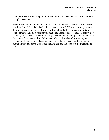Roman armies fulfilled the plan of God so that a new "heavens and earth" could be brought into existence.

When Peter said "the elements shall melt with fervent heat" in II Peter 3:12 the Greek word for "melt" there is "teko" which means "to liquefy" But interestingly, in verse 10 where those same identical words (in English in the King James version) are used: "the elements shall melt with fervent heat", the Greek work for "melt" is different. It is "luo", which means "break up, destroy, dissolve, loose, melt, put off." In actuality, this is what happened to those "elements" of the old Jewish religion—they were broken up, destroyed, dissolved, loosened and put off. This is how the elements melted in that day of the Lord when the heavens and the earth felt the judgment of God.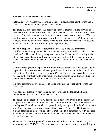#### The New Heavens and the New Earth

Peter said, "Nevertheless we, according to his promise, look for new heavens and a new earth wherein dwelleth righteousness" (vs. 13).

The thing that struck me about this particular verse, is that the looking forward to a new heavens and a new earth was based upon "HIS PROMISE". It is according to His promise, Peter said, that we look forward to a new heavens and a new earth. Where in the Bible can we find this promise of a new heavens and a new earth? If we locate it, it should reveal to us whether Peter is speaking of a literal heavens and earth passing away, or if he is using this terminology in a symbolic way.

The only prophecies ("promise" referred to in vs. 13) in the Old Testament specifically mentioning the new heavens and new earth are found in Isaiah 65:17 and Isaiah 66:22. These are the only two places in the Old Testament where this promise of new heavens and a new earth can be found, and neither of these speak of a literal heavens and earth passing away. Nor do they speak of a literal new heavens and new earth.

Commentaries generally apply the fulfilment of these prophecies to the gospel age (as opposed to dispensationalists and some premillennialists who apply them to a future millennium after a future second coming of Christ). The new heavens and new earth referred to the spiritual world order which was brought into being through Christ. But the old had to pass away before the new could come into being.

We shall discuss these two passages in Isaiah which speak of the new heavens and new earth:

"For behold, I create new heavens and a new earth: and the former shall not be remembered, nor come into mind" Isaiah 65:17.

The results of the creation of new heavens and a new earth are seen in the rest of the chapter—the creation of another Jerusalem (a new Jerusalem)—and the blessings which pre-millennialists say will take place literally during a millennium here on earth after Jesus comes in our future (see specifically verses-20 and 25). But this passage is a grand depiction of the gospel age after Christ came in judgment in 70 A.D. and took away the old heavens and the old earth. Now we have the new heavens and the new earth of the gospel age.

The famed Charles Spurgeon of the Metropolitan Tabernacle in London said (in a sermon on Isaiah 65:17-19), "Did you ever regret the absence of the burnt-offering, or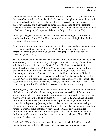the red heifer, or any one of the sacrifices and rites of the Jews? Did you ever pine for the feast of tabernacle, or the dedication? No, because, though these were like the old heavens and earth to the Jewish believers, they have passed away, and we now live under new heavens and a new earth, so far as the dispensation of divine teaching is concerned. The substance is come, and the shadow has gone: and we do not remember it." (Charles Spurgeon, Metropolitan Tabernacle Pulpit, vol. xxxvii, p. 354).

In this gospel age we now have the New Jerusalem supplanting the old Jerusalem which was destroyed in A.D. 70. This new Jerusalem is more fittingly described in Revelation 21 and 22. John said:

"And I saw a new heaven and a new earth: for the first heaven and the first earth were passed away; and there was no more sea. And I John saw the holy city, new Jerusalem, coming, down from God out of heaven, prepared as a bride for her husband." (Rev. 21:1-2).

This new Jerusalem in the new heavens and new earth is not a materialistic city. IT IS THE BRIDE, THE LAMB'S WIFE, as it says. The angel told John, "Come hither, I will shew thee the bride, the Lamb's wife." (Rev. 21:9). And what is it that symbolizes the bride of Christ? It says, "And he carried me away in the spirit to a great and high mountain, and shewed me that great city, the holy Jerusalem, descending out of heaven from God." (Rev. 21:10). This is the bride of Christ, the new Jerusalem, which is the new people of God since Christ came in the day of the Lord in A.D. 70 and destroyed the old Jerusalem—the faithless wife of Jehovah. The description of this new city, which city we are, is shown in Revelation 21 and 22 and is our heritage for this life and the life to come, both for time and eternity.

Max King said, "Peter said, in anticipating the imminent end of all things (the coming of Christ and the end of the then existing heaven and earth) (I Pet. 4:7), 'nevertheless we, according to his promise, look for new heavens and a new earth.' This promise of a new heaven and earth is taken from Isa. 65:17-19 and 66:22-24, and had a limited fulfillment in Israel's return from Babylonian captivity. But beyond the limited restoration, this prophecy (as many other prophecies) was understood as having an ultimate, final meaning and fulfillment through Christ in 'the age to come' The city of Jerusalem was the focus of this new heaven and earth, not only in its limited fulfillment in Israel's return from Babylon (Isa. 65:18, 19), but also in its ultimate fulfillment in Christ in the New Covenant aeon, as seen in chapters 21 and 22 of Revelation" (Max King, p. 256).

Isaiah 66:22 "For as the new heavens and the new earth, which I will make, shall remain before me, saith the LORD, so shall your seed and your name remain.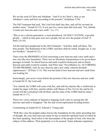We are the seed of Christ and Abraham. "And if ye be Christ's, then ye are Abraham's seed, and heirs according to the promise" (Galatians 3:29).

The Old Testament had said, "the Lord God shall slay thee, and call his servants by another name." (Isaiah 65:15). It was just two verses later that God said, "For, behold, I create new heavens and a new earth." (vs. 17).

"But ye are a chosen generation, a royal priesthood, AN HOLY NATION, a peculiar people ... which in time past were not a people, but are now the people of God" (I Peter 2:9-10).

All this had been prophesied in the Old Testament. "And they shall call them, The holy people, The Redeemed of the LORD: and thou shalt be called, Sought out, A city not forsaken." (Isaiah 62:12).

These were the PROMISES of God concerning a new heavens and a new earth and a new city (the new Jerusalem). There was no literalistic interpretation to be given those passages in Isaiah. No literal heaven and earth would be destroyed, and no literal heavens and earth would be created. And Peter said, "Nevertheless we, ACCORDING TO HIS PROMISE, look for new heavens and a new earth, wherein dwelleth righteousness'' (II Peter 3:13). This was the kind of new heavens and new earth Peter was looking for.

Interestingly, just seven verses before the promise of the new heavens and new earth in Isaiah 66:22, the Lord said,

"For, behold, the LORD will come with fire, and with his chariots like a whirlwind, to render his anger with fury, and his rebuke with flames of fire. For by fire and by his sword will the Lord plead with all flesh: and the slain of the LORD shall be many." (Isaiah 66:15-17).

Those two verses indicate in figurative language God's part in causing the old heavens and earth to disappear. The fire and sword represented invading armies.

Commenting on Isaiah 66:22, Edward J. Young said:

"With this verse the prophet makes known the foundation for the entire preceding line of thought. By your seed and your name he has in mind the spiritual Israel of which he has been speaking. Seed refers to the descendants of the people of God, who form the subject of this address. Their perpetuity is to be assured. Name indicates reputation;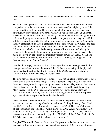forever the Church will be recognized by the people whom God has chosen to be His own.

To assure God's people of this perpetuity and constant recognition God institutes a comparison with the new heavens and the new earth. As God originally created the heavens and the earth, so now He is going to make (the participle suggests near futurity) new heavens and a new earth, which will stand before Him (i.e. under His constant care and protection; cf. 48:19; 53:2). The old Israel will pass away; but from it there will spring the remnant that has survived the judgment, and together with it will be a great influx of Gentiles, all of which will form the true Israel of God under the new dispensation. In the old dispensation this Israel of God (the Church) had been practically identical with the literal nation, but in the new the Gentiles should be fellow heirs, and of the same body, and partakers of his promise in Christ by the gospel.... to the intent that now unto the principalities and powers in heavenly places might be known by the church the manifold wisdom of God…" (Eph. 3:6, 10) The promise is strengthened by saith the Lord. (Edward J. Young, vol. 3, pp. 535-536, Commentary on the Book of Isaiah.)

David Chilton says, "Because of the 'collapsing-universe' technology, used in this passage, many have mistakenly assumed that St. Peter is speaking of the physical heaven and earth, rather than the dissolution of the Old Covenant world order." (David Chilton, p. 540, The Days of Vengeance).

The new heavens and new earth of II Peter 3:13 are not a picture of that which is to be in the eternal state following the great white judgment. The promise is taken from those two passages we have previously mentioned in Israel. They refer to this present dispensation, the gospel age. Spiritual blessings are pictured by earthly blessings. Many passages in the Old Testament, thought to refer to the eternal blessings Christians will have in glory or at least out in eternity, actually refer to this present age. Kenneth Gentry spoke well on this when he said:

"First, numerous prophetic references speak of factors inappropriate to the eternal state, such as the overcoming of active opposition to the kingdom (e.g., Psa. 72:4,9; Isa. 11:4, 13-15; Mic. 4:3), birth and aging (e.g., Psa. 22:30-31; Isa. 65:20; Zech. 8:3- 5), the conversion of people (Psa. 72:27), death (e.g., Psa. 22:29; 72:14; Isa. 65:20), sin (e.g., Isa. 65:20, Zech. 14:14-17), suffering (e.g., Psa. 22:29; 72:2,13, 17), and national distinctions and interaction (e.g., Psa. 72:10-11, 17; Isa. 2:2-4; Zech. 14:16- 17)." (Kenneth Gentry, p. 208, He Shall Have Dominion).

Douglas Wilson said, "Some of the terms of the promise in Isaiah are these: we know that death will remain in the new heaven and new earth (65:20), home construction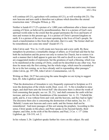will continue (65:21), agriculture will continue (65:21), as will worship (66:23). The new heavens and new earth is therefore not a phrase which describes the eternal resurrection state." (Douglas Wilson, p. 30).

Neither is Isaiah 65:17-25 a picture of a 1,000 years millennium after a future second coming of Christ, as believed by premillennialists. But it is a picture of God's new spiritual world order to the extent that the gospel permeates the lives and hearts of men and women in this present age. It is a picture of Christ's present kingdom on earth. It is a picture of the new covenant operating in the lives of God's people. So much a transformation is this from the old order, that it is said, "the former shall not be remembered, nor come into mind" (Isaiah 65:17).

John Calvin said: "For, lo, I will create new heavens and a new earth. By these metaphors he promises a remarkable change of affairs; as if God had said that he has both the inclination and the power not only to restore his Church, but to restore it in such a manner that it shall appear to gain new life and to dwell in a new world. These are exaggerated modes of expression; but the greatness of such a blessing, which was to be manifested at the coming of Christ, could not be described in any other way. Nor does he mean only the first coming, but the whole reign, which must be extended as far as to the last coming, as we have already said in expounding other passages." (John Calvin, pp. 397-398, John Calvin's Commentaries, vol. 8).

Writing on Matt. 24:27 but conveying the same thoughts we are trying to suggest here, Dr. John Lightfoot said this:

"That the destruction of Jerusalem is very frequently expressed in Scripture as if it were the destruction of the whole world, Deut. xxxii. 22; 'A fire is kindled in mine anger, and shall burn unto the lowest hell' (the discourse there is about the wrath of God consuming that people; see ver. 20, 21), 'and shall consume the earth with her increase, and set on fire the foundations of the mountains' Jer. iv. 23; 'I beheld the earth, and lo, it was without form and void; and the heavens, and they had no light; The discourse there also is concerning the destruction of that nation, Isa. lxv. 17; 'Behold, I create new heavens and a new earth: and the former shall not be remembered,' And more passages of this sort among the prophets. According to this sense, Christ speaks in this place; and Peter speaks in his Second Epistle, third chapter; and John, in the sixth of the Revelation; and Paul, 2 Cor. v. 17" (John Lightfoot, pp. 318-319, vol. 2.

In his volume 3, Dr. Lightfoot speaks further his views on this subject. He said: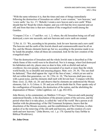"With the same reference it is, that the times and state of things immediately following the destruction of Jerusalem are called 'a new creation,' 'new heavens,' and 'a new earth,' Isa. lxv. 17; 'Behold, I create a new heaven and a new earth' When should that be? Read the whole chapter; and you will find the Jews rejected and cut off; and from that time is that new creation of the evangelical world among the Gentiles.

"Compare 2 Cor. v. 17 and Rev. xxi. 1, 2; where, the old Jerusalem being cut off and destroyed, a new one succeeds; and new heavens and a new earth are created.

"2 Pet. iii. 13: 'We, according to his promise, look for new heavens and a new earth' The heavens and the earth of the Jewish church and commonwealth must be all on fire, and the Mosaic elements burnt up; but we, according to the promise made to us by Isaiah the prophet, when all these are consumed, look for the new creation of the evangelical state."

"That the destruction of Jerusalem and the whole Jewish state is described as if the whole frame of this world were to be dissolved. Nor is it strange, when God destroyed his habitation and city, places once so dear to him, with so direful and sad an overthrow; his own people, whom he accounted of as much or more than the whole world beside, by so dreadful and amazing plagues. Matt. xxiv. 29, 30, 'The sun shall be darkened,' Then shall appear the 'sign of the Son of man,'; which yet are said to fall out within that generation, ver. 34. 2 Pet. iii. 10, 'The heavens shall pass away with a great noise, and the elements shall melt with fervent heat.' Compare with this Deut. xxxii. 22, Heb. xii. 26: and observe that by elements are understood the Mosaic elements, Gal. iv. 9, Coloss. ii. 20: and you will not doubt that St. Peter speaks only of the conflagration of Jerusalem, the destruction of the nation, and the abolishing the dispensation of Moses." (John Lightfoot, vol. 3, pp. 452-453).

John Brown, in his commentary on Matthew 5:18 says: "'Heaven and earth passing' understood literally, is the dissolution of the present system of the universe, and the period when that is to take place, is called the 'end of the world' But a person at all familiar with the phraseology of the Old Testament Scriptures, knows that the dissolution of the Mosaic economy, and the establishment of the Christian, is often spoken of as the removing of the old earth and heavens, and the creation of a new earth and new heavens." (John Brown, vol. 1, p. 170. Quoted by Gary DeMar in Biblical Worldview).

#### Dr. John Owen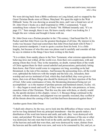We were driving back from a Bible conference on Long Island, and we stopped by the Great Christian Books store at Elkton, Maryland. We spent the night in the Walt Hibbards' home. He was showing us around the store, and I saw a brand new set of Dr. John Owen's books on a shelf (reprinted in 1990). I commented, "I need something from volume 9 in that set of books" Mr. Hibbard instantly said, "It's on page 131." Sure enough, there it was. He knew exactly what I was looking for. I bought the new volume and brought it home with me.

Dr. John Owen was a Puritan preacher in the 17th century. I had heard that Dr. J.I. Packer said that John Owen was the greatest theologian of all time. My interest in his works was because I had read somewhere that John Owen had dealt with II Peter 3 from a preterist standpoint. I want to quote a section from his book. It is a little lengthy, but because of who this man was please read it carefully and consider all that he says in relation to the things I have been writing in this book:

"It is evident, from sundry places in the New Testament, what extreme oppositions the believing Jews met withal, all the world over, from their own countrymen, with and among whom they lived. They in the meantime, no doubt, warned them of the wrath of Christ against them for their cursed unbelief and persecutions; particularly letting them know, that Christ would come in vengeance ere long, according as-he had threatened, to the ruin of his enemies. And because the persecuting Jews, all the world over, upbraided the believers with the temple and the holy city, Jerusalem, their worship and service instituted of God, which they had defiled; they were given to know, that even all these things also should be destroyed, for their rejection of the Son of God. After some continuance of time, the threatening denounced being not yet accomplished—as is the manner of profane persons and hardened sinners, Eccles. viii. 11—they began to mock and scoff, as if they were all but the vain pretences, or loose, causeless fears of the Christians. That this was the state with them, or shortly would be, the apostle declares in this chapter, verses 3, 4. Because things continued in the old state, without alteration, and judgment was not speedily executed, they scoffed at all the threats about the coming of the Lord that had been denounced against them."

Another quote from John Owen:

"I shall only observe, by the way, not to look into the difficulties of these verses, that I not be too long detained from my principal intendment—that the apostle makes a distribution of the word into heaven and earth, and saith, they 'were destroyed with water, and perished: We know that neither the fabric or substance of the one or other was destroyed, but only men that lived on the earth; and the apostle tells us, verse 5, of the heavens and earth that were then, and were destroyed by water, distinct from the heavens and the earth that were now, and were to be consumed by fire; and yet, as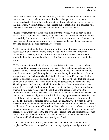to the visible fabric of heaven and earth, they were the same both before the flood and in the apostle's time, and continue so to this day; when yet it is certain that the heavens and earth whereof he speaks were to be destroyed and consumed by fire in that generation. We must, then, for the clearing our foundation, a little consider what the apostle intends by 'the heavens and the earth' in these two places: -

"1. It is certain, that what the apostle intends by the 'world,' with its heavens and earth, verses 5, 6, which was destroyed by water; the same or somewhat of that kind, he intends by 'the heavens and the earth' that were to be consumed and destroyed by fire, verse 7. Otherwise there would be no coherence in the apostle's discourse, nor any kind of argument, but a mere fallacy of words.

"2. It is certain, that by the flood, the world, or the fabric of heaven and earth, was not destroyed, but only the inhabitants of the world; and therefore the destruction intimated to succeed by fire, is not of the substance of the heavens and the earth, which shall not be consumed until the last day, but of persons or men living in the world.

"3. Then we must consider in what sense men living in the world are said to be the 'world,' and the 'heavens and earth' of it. I shall only insist on one instance to this purpose, among the many that may be produced, Isa. Ii. 15, 16. The time when the work here mentioned, of planting the heavens, and laying the foundation of the earth, was performed by God, was when he 'divided the sea,' verse 15, and gave the law, verse 16, and said to Zion, 'Thou art my people,"—that is, when he took the children of Israel out of Egypt, and formed them in the wilderness into a church and state. Then he planted the heavens, and laid the foundation of the earth—made the new world; that is, brought forth order, and government, and beauty, from the confusion wherein before they were. This is the planting of the heavens, and laying the foundation of the earth in the world. And hence it is, that when mention is made of the destruction of a state and government, it is in that language that seems to set forth the end of the world. So Isa. xxxiv. 4; which is yet but the destruction of the state of Edom. The like also is affirmed of the Roman empire, Rev. vi. 14; which the Jews constantly affirm to be intended by Edom in the prophets. And in our Saviour Christ's prediction of the destruction of Jerusalem, Matt. xxiv., he sets it out by expressions of the same importance. It is evident, then, that in the prophetical idiom and manner of speech, by 'heavens' and 'earth,' the civil and religious state and combination of men in the world, and the men of them, are often understood. So were the heavens and earth that world which was then destroyed by the flood.

"4. On this foundation I affirm, that the heavens and earth here intended in this prophecy of Peter, the coming of the Lord, the day of judgment and perdition of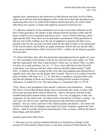ungodly men, mentioned in the destruction of that heaven and earth, do all of them relate, not to the last and final judgment of the world, but to that utter desolation and destruction that was to be made of the Judaical church and state; for which I shall offer these two reasons, of many that might be insisted on from the text: -

"(1.) Because whatever is here mentioned was to have its peculiar influence on the men of that generation. He speaks of that wherein both the profane scoffer and the those scoffed at were concerned, and that as Jews—some of them believing, others opposing the faith. Now, there was no particular concernment of that generation in that sin, nor in that scoffing, as to the day of judgment in general; but there was a peculiar relief for the one and a peculiar dread for the other at hand, in the destruction of the Jewish nation; and besides, an ample testimony, both to the one and the other, of the power and dominion of the Lord Jesus Christ—which was the thing in question between them.

"(2.) Peter tells them, that, after the destruction and judgment that he speaks of, verse 13, 'We, according to his promise, look for new heavens and a new earth,' etc. They had this expectation. But what is that promise? where may we find it? Why, we have it in the very words and letter, Isa. Ixv. 17. Now, when shall this be that God will create these 'new heavens and new earth, wherein dwelleth righteousness?' Saith Peter, 'It shall be after the coming of the Lord, after that judgment and destruction of ungodly men, who obey not the gospel, that I foretell.' But now it is evident, from this place of Isaiah, with chap. lxvi., 21, 22, that this is a prophecy of gospel times only; and that the planting of these new heavens is nothing but the creation of gospel ordinances, to endure for ever. The same thing is so expressed, Heb. xii. 26-28.

"First, There is the foundation of the apostle's inference and exhortation... 'Seeing that I have evinced that all these things, however precious they seem, or what value soever any put upon them, shall be dissolved,—that is, destroyed; and that in that dreadful and fearful manner before mentioned,—in a way of judgment, wrath, and vengeance, by fire and sword—let others mock at the threats of Christ's coming.—he will come, he will not tarry; and then the heavens and earth that God himself planted,—the sun, moon, and stars of the Judaical polity and church,—the whole old world of worship and worshippers, that stand out in their obstinacy against the Lord Christ,—shall be sensibly dissolved and destroyed. This, we know, shall be the end of these things, and that shortly.'"

Another quote from John Owen:

"1. Because in every such providential alteration or dissolution of things on the account of Christ and his church, there is a peculiar coming of Christ himself. He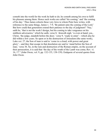cometh into the world for the work he hath to do; he cometh among his own to fulfil his pleasure among them. Hence such works are called 'his coming;' and 'the coming of his day.' Thus James exhorts these very Jews to whom Peter here writes, with reference to the same things, James v. 7-9, 'Be patient unto the coming of the Lord.' But how could that generation extend their patience to the day of judgment? 'Nay,' saith he, 'that is not the work I design, but his coming to take vengeance on his stubborn adversaries;' which he saith, verse 8, 'draweth nigh,' is even at hand; yea., Christ, 'the judge, standeth before the door,' verse 9, 'ready to enter'—which also he did within a few years. So upon or in the destruction of Jerusalem (the same work), Luke xxi. 27, the Son of man is said to 'come in a cloud, with power and great glory'—and they that escape in that desolation are said to 'stand before the Son of man,' verse 36. So, in the ruin and destruction of the Roman empire, on the account of their persecution, it is said that 'the day of the wrath of the Lamb was come; Rev. vi. 16, 17." (John Owen, vol. 9, pp. 132-135, 138-139). Endquote of several quotes from John Owen.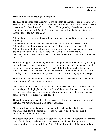# More on Symbolic Language of Prophecy

The type of language used in II Peter 3 can be observed in numerous places in the Old Testament. Take for example the third chapter of Jeremiah. Here God is talking to and concerning Judah and Jerusalem (vs. 5), and He is speaking of sending destruction upon them from the north (vs. 6). The language used to describe the results of this visitation is found in verses 23-28:

"I beheld the earth, and, lo, it was without form, and void; and the heavens, and they had no light.

"I beheld the mountains, and, lo, they trembled, and all the hills moved lightly. "I beheld, and, lo, there was no man, and all the birds of the heavens were fled. "I beheld, and, lo, the fruitful place was a wilderness, and all the cities thereof were broken down at the PRESENCE of the LORD, and by his fierce anger. "For thus hath the LORD said, The whole land shall be desolate; yet will I not make a full end."

This is apocalyptic figurative language describing the desolation of Judah by invading forces. The cosmic language simply means that the presence of Jehovah was revealed in judgment upon the people. The "presence" of the Lord (vs. 26) has the meaning of being in a fearful way, against someone or something. It would be like the word for "coming" in the New Testament ("parousia") when it referred to judgment passages.

Similarly, in Micah is found this same kind of language, when God is talking about the destruction of Samaria and Jerusalem:

"For behold, the LORD COMETH forth out of his place, and WILL COME DOWN, and tread upon the high places of the earth. And the mountains shall be molten under him, and the valleys shall be cleft, as was before the fire, and as the waters that are poured down a steep place!' (Micah 1:3-4).

Then after mentioning that all of this is because of the sins of Jacob, and Israel, and Samaria, and Jerusalem (vs. 5), He further declared,

"Therefore I will make Samaria as an heap of the field, and as plantings of a vineyard: and I will pour down the stones thereof into the valley, and I will discover the foundations thereof" (Micah 1:6).

This destruction of these places were spoken of as the Lord coming forth, and coming down (vs. 3) though we know the results were accomplished through human instrumentality. Likewise, in II Peter 3, the fall and destruction of the nation of Israel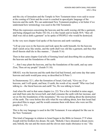and the city of Jerusalem and the Temple in New Testament times were said to occur at the coming of Christ and the event is couched in apocalyptic language of the heavens and the earth. We can understand New Testament prophecy a lot better if we understand how terminology was used in the Old Testament.

When the expression concerning the heavens and the earth waxing old like a garment, and being changed (see Psalm 102:16), it is like Isaiah said in Isaiah 50:9, "they all shall wax old as doth a garment" as he spoke of PEOPLE who would be destroyed.

In the very next chapter God spoke of the heavens and earth vanishing:

"Lift up your eyes to the heavens and look upon the earth beneath; for the heavens shall vanish away like smoke, and the earth shall wax old like a garment, and they that dwell therein shall die in like manner..." (Isaiah 51:6)

Then in that same chapter God tells of forming Israel and describing this as planting the heavens and the foundations of the earth:

" …that I may plant the heavens, and lay the foundations of the earth, and say unto Zion, Thou art my people" (Isaiah 51:16).

ISRAEL was the heavens and the earth that God had formed, and some day that same heavens and earth would pass away as described in II Peter 3.

In Deuteronomy 32:1, after the formation of Israel, God said, "Give ear, O ye heavens, and I will speak; and hear, O earth, the words of my mouth" Who was God talking to—the literal heavens and earth? No, He was talking to Israel.

And when He said in that same chapter (vs. 22) "For a fire is kindled in mine anger, and shall burn unto the lowest hell, and shall consume the earth with her increase, and set on fire the foundations of the mountains;" He was not talking about the destruction of the earth. The verse before this tells what He was talking about, how that Israel had provoked Him to anger, and He would consume them with those who were not His people (vs. 21).

This is the way language is used in the Old Testament. It was adopted for like use in the New Testament.

This kind of language in relation to Israel began in the Bible in Genesis 37:9 when Joseph told his brothers his dream. He said, "Behold, I have dreamed a dream more; and, behold, the sun and the moon and the eleven stars made obeisance to me." His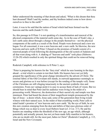father understood the meaning of that dream and asked, "What is this dream that thou hast dreamed? Shall I and thy mother, and thy brethren indeed come to bow down ourselves to thee to the earth?"

Later, it was to be said that the nation of Israel which had been formed was the heavens and the earth (Isaiah 51:16).

So, this passage in II Peter 3 is not speaking of a transformation and renewal of the physical components of the material earth some day. As in the case of Noah's day, a new earth came about through a change in the people themselves—not the physical components of the earth as a result of the flood. People were destroyed and a new era began. For all concerned, it was a new heavens and. a new earth. So likewise, the new heavens and new earth of II Peter 3 (based on the promises of Isaiah) consist of a renewed people of God following the disintegration of the old system of Judaism and all that went along with it. A shaking of "heavens and earth" took place (Hebrews 12:26-29) which resulted in only the spiritual things that could not be removed being left.

Roderick Campbell, with reference to II Peter 3, says:

"Peter is preparing his hearers for the 'fiery trial' which he sees looming in the days ahead—a trial which is certain to test their faith. His hearers have not yet fully grasped the significance of the great change introduced by the advent of Christ. The external fabric of the Old Covenant still stands, in outward appearance seemingly as secure and glorious as it was before (except for the rending of the temple veil). Some of the Christians are still clinging tenaciously to the ancient symbolic rites and ceremonies. From our vantage point it is easy to accuse them of lack of vision. But we should bear in mind that Peter and his audience were living in the midst of a persecuting world. Moreover, the destruction of their sacred city and temple was then imminent. Peter had heard the doom of their magnificent temple pronounced by the lips of Jesus—a doom which, Jesus said, some of the generation then living would witness with their natural eyes. In the midst of that-crumbling world, Peter calls to mind Isaiah's promise of 'new heavens and a new earth.' By the eye of faith, he sees this new creation emerging from the dust and debris of that once glorious order of things which was so dear to every loyal Hebrew heart (cf. 2 Cor. 3:7). He and his hearers are standing within the threshold of the new age, an age which, although potentially and actually present, has not yet been made fully manifest to his hearers, who are no doubt still, for the most part, babes in Christ" (Roderick Campbell, p. 115, Israel and the New Covenant).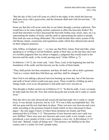"But the day of the Lord will come as a thief in the night; in the which the heavens shall pass away with a great noise, and the elements shall melt with fervent heat..." (II Peter 3:10).

Some say that this will occur some day in our future through a nuclear explosion. This would have to be some mighty nuclear explosion to affect the heavenly bodies! We recall that elsewhere we have discussed the heavenly bodies (sun, moon, stars, etc.) as representing the leaders of Israel, and the earth as representing the nation or people. Here both are seen as being obliterated. This would include their entire system of the old Mosaic rituals, ceremonies and regulations under which they labored and carried on their religious practices.

John Allfree, in England, says, "...we may say that Peter, James, Paul and John, when speaking to or writing to Jewish brethren, speak of their days as the last days and warn of a terrible judgment that was about to happen, a judgment that would result in the heavens and the earth, or the world, passing away" (John Allfree, p. 7).

In Hebrews 1:10-12, the writer said, "And, Thou, Lord, in the beginning has laid the foundation of the earth; and the heavens are the works of thine hands:

"They shall perish; but thou remainest; and they all shall wax old as doth a garment; "And as a vesture shalt thou fold them up, and they shall be changed..."

Here God is not talking a physical universe burning up some day, but of the heavens and earth of Israel which would soon pass away. There would be a folding up and a change made, even as an old garment is laid aside and a new one put on.

This thought is further carried out in Hebrews 8:13, "In that he saith, A new covenant, he hath made the first old. Now that which decayeth and waxeth old is ready to vanish away."

Here the old is not only decayed and waxed old and laid aside, but is ready to vanish away. It was already in process, but by A.D. 70 it was a fully accomplished fact. The old was gone and the new had taken its place. There was now new heavens and a new earth, according to the promises found in Isaiah which we have discussed in these pages—the only pages I know of where those promises are found; and Peter mentioned this in II Peter 3:13. That promise of new heavens and a new earth was now fulfilled. There were now new heavens and a new earth, a new temple, a new priesthood, a new people of God, a new Jerusalem, a new city. In Revelation 21:10 God said, "Behold, I make all things new" This promise was fulfilled in the first century and is a reality for God's people today.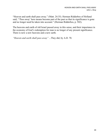"Heaven and earth shall pass away." (Matt. 24:35). Herman Ridderbos of Holland said, "'Pass away' here means become part of the past so that its significance is gone and no longer need be taken into account." (Herman Ridderbos, p. 502).

The heavens and earth of old Israel passed away in this sense, and their importance in the economy of God's redemption for man is no longer of any present significance. There is now a new heavens and a new earth.

"Heaven and earth shall pass away" ...They did, by A.D. 70.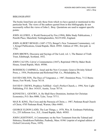#### BIBLIOGRAPHY

The books listed here are only those from which we have quoted or mentioned in this particular book. The views of the authors quoted from in this bibliography do not necessarily reflect the views of John L. Bray. Quotations are used to support specific points:

JOHN ALLFREE, A World Destroyed by Fire (1994), Bible Study Publications, 1 Penrith Place, Mansfield, Nottinghamshire, NG19 6NE, England.

JOHN ALBERT BENGEL (1687-1752), Bengel's New Testament Commentary, vol. 1, Kregel Publications, Grand Rapids, Mich. 49501. Edition of 1981, first pub. in 1742.

JOHN BROWN, Discourse and Sayings of Our Lord, vol. 1, The Banner of Truth Trust, Edinburgh, Scotland, 1852.

JOHN CALVIN, Calvin's Commentaries (1847), Reprinted 1984 by Baker Book House, Grand Rapids, Mich. 49506.

RODERICK CAMPBELL, Israel and the New Covenant, Geneva Divinity School Press, c. 1954, Presbyterian and Reformed Pub. Co., Philadelphia, Pa.

DAVID CHILTON, The Days of Vengeance, c. 1987, Dominion Press, 7112 Burns Street, Fort Worth, Texas 76118.

DAVID P. CREWS, Prophecy Fulfilled—God's Perfect Church, c. 1994, New Light Publishing, P.O. Box 141635, Austin, Texas 78714.

KENNETH L. GENTRY, Jr, He Shall Have Dominion, Institute for Christian Economics, P.O. Box 8000, Tyler, Texas 75711.

MAX R. KING, The Cross and the Parousia of Christ, c. 1987, Parkman Road Church of Christ, 4705 Parkman Road, Warren, Ohio 44481.

GEORGE ELDON LADD, The Last Things, c. 1978, Wm. B. Eerdmans Publishing Co., 255 Jefferson Ave., S.E., Grand Rapids, Mich. 49503.

JOHN LIGHTFOOT, A Commentary on the New Testament from the Talmud and Hebraica, Hendrikson Publisher, Peabody, Mass. 01961 (reprint of original edition of Oxford University Press, 1859).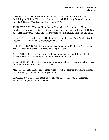RANDALL E. OTTO, Coming in the Clouds—An Evangelical Case for the Invisibility of Christ at His Second Coming, c. 1994, University Press of America, Inc., 4720 Boston Way, Lanham, Maryland 20706.

JOHN OWEN, The Works of John Owen. First pub. by Johnstone and Hunter, London and Edinburgh, 1850-53. Reprinted by The Banner of Truth Trust, P.O. Box 621, Carlisle, Penna. 17013, and 3 Murrayfield Rd., Edinburgh, Scotland EHl 6EL.

DON K. PRESTON, II Peter 3—The Late Great Kingdom, c. 1990. Pub. by Don K. Preston, 421 Maxwell Ave., Ardmore, Okla. 73401.

HERMAN RIDDERBOS, The Coming of the Kingdom, c. 1962, The Presbyterian and Reformed Publishing Company, Philadelphia, Penna.

J. STUART RUSSELL, The Parousia, Baker Book House, Grand Rapids, Mich. 49506. Reprint 1983 from the 1887 edition. (Written in 1878).

CHARLES SPURGEON, Metropolitan Tabernacle Pulpit, vol. 37, first pub in 1892, reprinted by Banner of Truth Trust in 1970.

MILTON S. TERRY, Biblical Hermeneutics (1898). Zondervan Publishing House, Grand Rapids, Michigan 49506 (Reprint of 1974).

EDWARD J. YOUNG, The Book of Isaiah, vol. 3, c. 1972, Wm. B. Eerdmans Publishing Co., Grand Rapids, Mich.